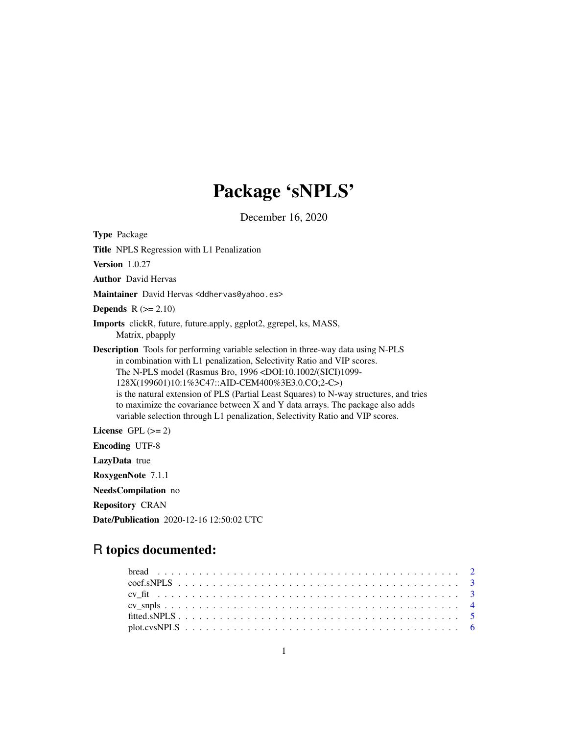## Package 'sNPLS'

December 16, 2020

Type Package Title NPLS Regression with L1 Penalization Version 1.0.27 Author David Hervas Maintainer David Hervas <ddhervas@yahoo.es> **Depends**  $R$  ( $>= 2.10$ ) Imports clickR, future, future.apply, ggplot2, ggrepel, ks, MASS, Matrix, pbapply Description Tools for performing variable selection in three-way data using N-PLS in combination with L1 penalization, Selectivity Ratio and VIP scores. The N-PLS model (Rasmus Bro, 1996 <DOI:10.1002/(SICI)1099- 128X(199601)10:1%3C47::AID-CEM400%3E3.0.CO;2-C>) is the natural extension of PLS (Partial Least Squares) to N-way structures, and tries to maximize the covariance between X and Y data arrays. The package also adds variable selection through L1 penalization, Selectivity Ratio and VIP scores. License GPL  $(>= 2)$ Encoding UTF-8 LazyData true RoxygenNote 7.1.1 NeedsCompilation no

Repository CRAN

Date/Publication 2020-12-16 12:50:02 UTC

## R topics documented: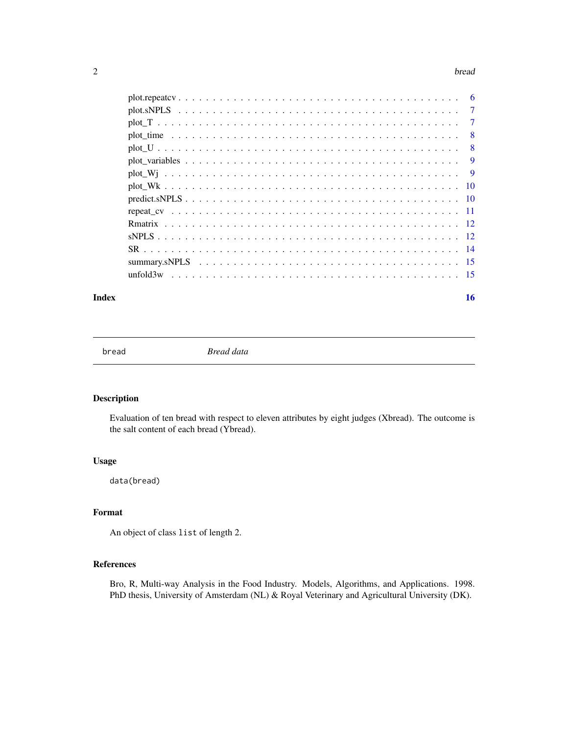#### <span id="page-1-0"></span> $2 \t\t bread$

| $\overline{7}$ |
|----------------|
| $\overline{7}$ |
| -8             |
| - 8            |
| 9              |
|                |
|                |
|                |
|                |
|                |
|                |
|                |
|                |
|                |
|                |

#### **Index** the contract of the contract of the contract of the contract of the contract of the contract of the contract of the contract of the contract of the contract of the contract of the contract of the contract of the co

bread *Bread data*

## Description

Evaluation of ten bread with respect to eleven attributes by eight judges (Xbread). The outcome is the salt content of each bread (Ybread).

#### Usage

data(bread)

#### Format

An object of class list of length 2.

#### References

Bro, R, Multi-way Analysis in the Food Industry. Models, Algorithms, and Applications. 1998. PhD thesis, University of Amsterdam (NL) & Royal Veterinary and Agricultural University (DK).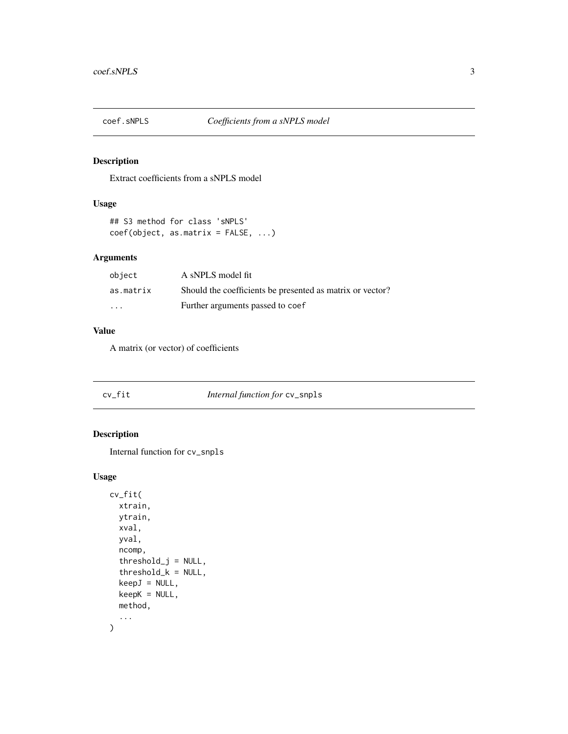<span id="page-2-0"></span>

## Description

Extract coefficients from a sNPLS model

## Usage

```
## S3 method for class 'sNPLS'
coef(object, as.matrix = FALSE, ...)
```
## Arguments

| object    | A sNPLS model fit                                         |
|-----------|-----------------------------------------------------------|
| as.matrix | Should the coefficients be presented as matrix or vector? |
| .         | Further arguments passed to coef                          |

#### Value

A matrix (or vector) of coefficients

| cv_fit | <i>Internal function for cv_snpls</i> |
|--------|---------------------------------------|
|--------|---------------------------------------|

## Description

```
Internal function for cv_snpls
```

```
cv_fit(
  xtrain,
  ytrain,
  xval,
  yval,
  ncomp,
  threshold_j = NULL,
  threshold_k = NULL,
  keepJ = NULL,
  keepK = NULL,
  method,
  ...
\mathcal{E}
```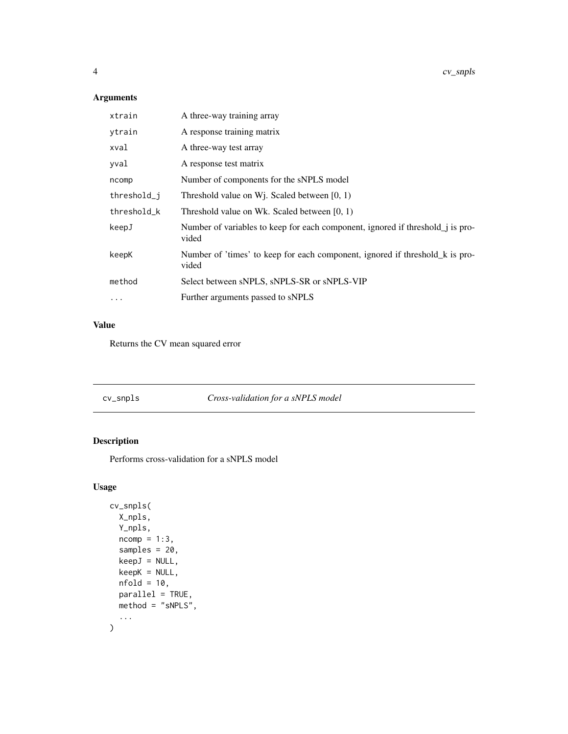<span id="page-3-0"></span>

| xtrain      | A three-way training array                                                                     |
|-------------|------------------------------------------------------------------------------------------------|
| ytrain      | A response training matrix                                                                     |
| xval        | A three-way test array                                                                         |
| yval        | A response test matrix                                                                         |
| ncomp       | Number of components for the sNPLS model                                                       |
| threshold_j | Threshold value on W <sub>1</sub> . Scaled between $[0, 1)$                                    |
| threshold k | Threshold value on Wk. Scaled between $[0, 1)$                                                 |
| keepJ       | Number of variables to keep for each component, ignored if threshold <i>j</i> is pro-<br>vided |
| keepK       | Number of 'times' to keep for each component, ignored if threshold k is pro-<br>vided          |
| method      | Select between sNPLS, sNPLS-SR or sNPLS-VIP                                                    |
| $\ddotsc$   | Further arguments passed to sNPLS                                                              |

## Value

Returns the CV mean squared error

cv\_snpls *Cross-validation for a sNPLS model*

## Description

Performs cross-validation for a sNPLS model

```
cv_snpls(
  X_npls,
  Y_npls,
  ncomp = 1:3,
  samples = 20,
  keepJ = NULL,
  keepK = NULL,nfold = 10,parallel = TRUE,
  method = "sNPLS",
  ...
\mathcal{L}
```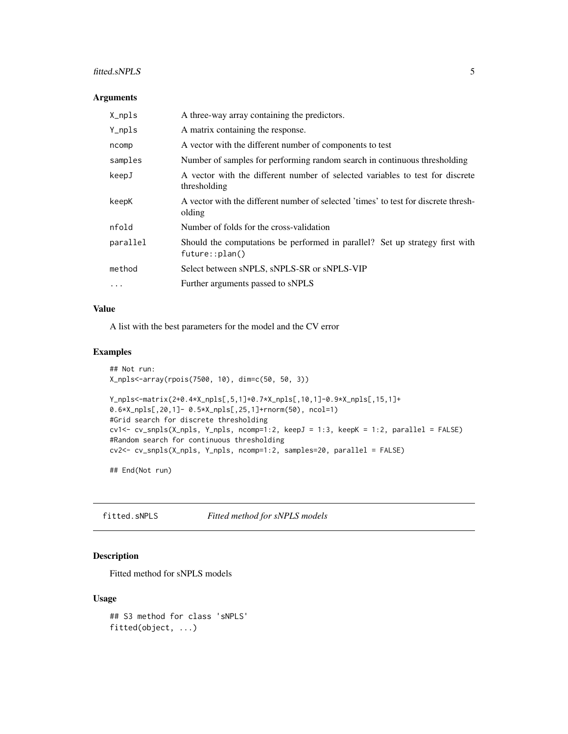#### <span id="page-4-0"></span>fitted.sNPLS 5

#### Arguments

| X_npls   | A three-way array containing the predictors.                                                   |
|----------|------------------------------------------------------------------------------------------------|
| Y_npls   | A matrix containing the response.                                                              |
| ncomp    | A vector with the different number of components to test                                       |
| samples  | Number of samples for performing random search in continuous thresholding                      |
| keepJ    | A vector with the different number of selected variables to test for discrete<br>thresholding  |
| keepK    | A vector with the different number of selected 'times' to test for discrete thresh-<br>olding  |
| nfold    | Number of folds for the cross-validation                                                       |
| parallel | Should the computations be performed in parallel? Set up strategy first with<br>future::plan() |
| method   | Select between sNPLS, sNPLS-SR or sNPLS-VIP                                                    |
| .        | Further arguments passed to sNPLS                                                              |

#### Value

A list with the best parameters for the model and the CV error

#### Examples

```
## Not run:
X_npls<-array(rpois(7500, 10), dim=c(50, 50, 3))
Y_npls<-matrix(2+0.4*X_npls[,5,1]+0.7*X_npls[,10,1]-0.9*X_npls[,15,1]+
0.6*X_npls[,20,1]- 0.5*X_npls[,25,1]+rnorm(50), ncol=1)
#Grid search for discrete thresholding
cv1<- cv_snpls(X_npls, Y_npls, ncomp=1:2, keepJ = 1:3, keepK = 1:2, parallel = FALSE)
#Random search for continuous thresholding
cv2<- cv_snpls(X_npls, Y_npls, ncomp=1:2, samples=20, parallel = FALSE)
```
## End(Not run)

fitted.sNPLS *Fitted method for sNPLS models*

## Description

Fitted method for sNPLS models

```
## S3 method for class 'sNPLS'
fitted(object, ...)
```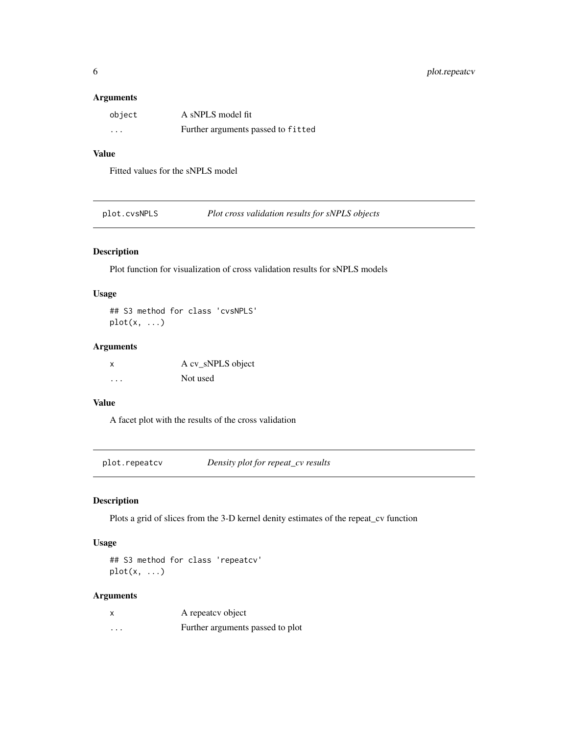<span id="page-5-0"></span>

| object   | A sNPLS model fit                  |
|----------|------------------------------------|
| $\cdots$ | Further arguments passed to fitted |

#### Value

Fitted values for the sNPLS model

plot.cvsNPLS *Plot cross validation results for sNPLS objects*

## Description

Plot function for visualization of cross validation results for sNPLS models

#### Usage

## S3 method for class 'cvsNPLS'  $plot(x, \ldots)$ 

## Arguments

| X | A cv_sNPLS object |
|---|-------------------|
| . | Not used          |

## Value

A facet plot with the results of the cross validation

plot.repeatcv *Density plot for repeat\_cv results*

#### Description

Plots a grid of slices from the 3-D kernel denity estimates of the repeat\_cv function

## Usage

## S3 method for class 'repeatcv'  $plot(x, \ldots)$ 

## Arguments

|   | A repeate v object               |
|---|----------------------------------|
| . | Further arguments passed to plot |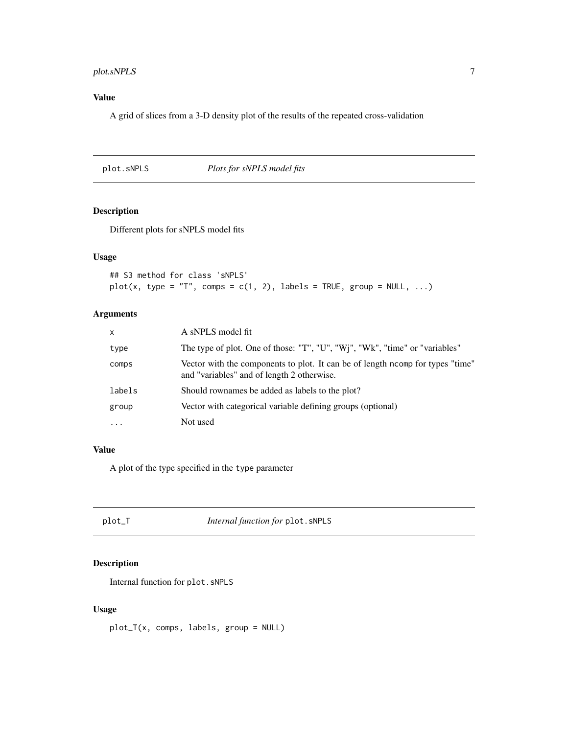## <span id="page-6-0"></span>plot.sNPLS 7

## Value

A grid of slices from a 3-D density plot of the results of the repeated cross-validation

## plot.sNPLS *Plots for sNPLS model fits*

#### Description

Different plots for sNPLS model fits

## Usage

```
## S3 method for class 'sNPLS'
plot(x, type = "T", comps = c(1, 2), labels = TRUE, group = NULL, ...)
```
## Arguments

| $\mathsf{x}$ | A sNPLS model fit                                                                                                           |
|--------------|-----------------------------------------------------------------------------------------------------------------------------|
| type         | The type of plot. One of those: "T", "U", "Wj", "Wk", "time" or "variables"                                                 |
| comps        | Vector with the components to plot. It can be of length norm for types "time"<br>and "variables" and of length 2 otherwise. |
| labels       | Should rownames be added as labels to the plot?                                                                             |
| group        | Vector with categorical variable defining groups (optional)                                                                 |
| $\cdots$     | Not used                                                                                                                    |

## Value

A plot of the type specified in the type parameter

plot\_T *Internal function for* plot.sNPLS

## Description

Internal function for plot.sNPLS

## Usage

plot\_T(x, comps, labels, group = NULL)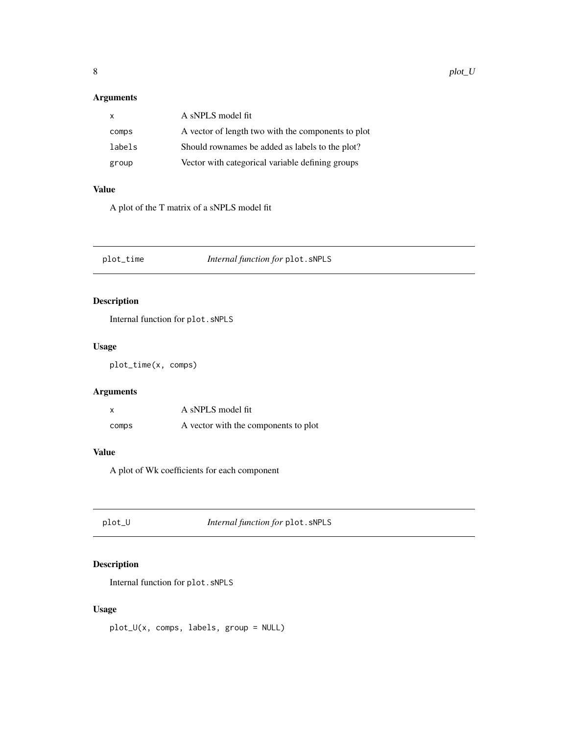<span id="page-7-0"></span>

| $\mathsf{x}$ | A sNPLS model fit                                  |
|--------------|----------------------------------------------------|
| comps        | A vector of length two with the components to plot |
| labels       | Should rownames be added as labels to the plot?    |
| group        | Vector with categorical variable defining groups   |

## Value

A plot of the T matrix of a sNPLS model fit

plot\_time *Internal function for* plot.sNPLS

## Description

Internal function for plot.sNPLS

## Usage

plot\_time(x, comps)

## Arguments

|       | A sNPLS model fit                    |
|-------|--------------------------------------|
| comps | A vector with the components to plot |

#### Value

A plot of Wk coefficients for each component

plot\_U *Internal function for* plot.sNPLS

## Description

Internal function for plot.sNPLS

## Usage

plot\_U(x, comps, labels, group = NULL)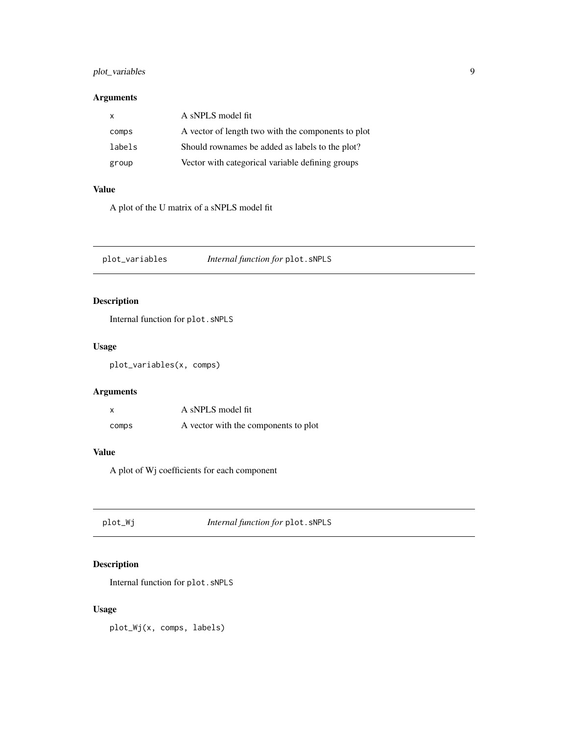## <span id="page-8-0"></span>plot\_variables 9

## Arguments

| X.     | A sNPLS model fit                                  |
|--------|----------------------------------------------------|
| comps  | A vector of length two with the components to plot |
| labels | Should rownames be added as labels to the plot?    |
| group  | Vector with categorical variable defining groups   |

## Value

A plot of the U matrix of a sNPLS model fit

plot\_variables *Internal function for* plot.sNPLS

## Description

Internal function for plot.sNPLS

## Usage

plot\_variables(x, comps)

## Arguments

|       | A sNPLS model fit                    |
|-------|--------------------------------------|
| comps | A vector with the components to plot |

#### Value

A plot of Wj coefficients for each component

plot\_Wj *Internal function for* plot.sNPLS

## Description

Internal function for plot.sNPLS

## Usage

plot\_Wj(x, comps, labels)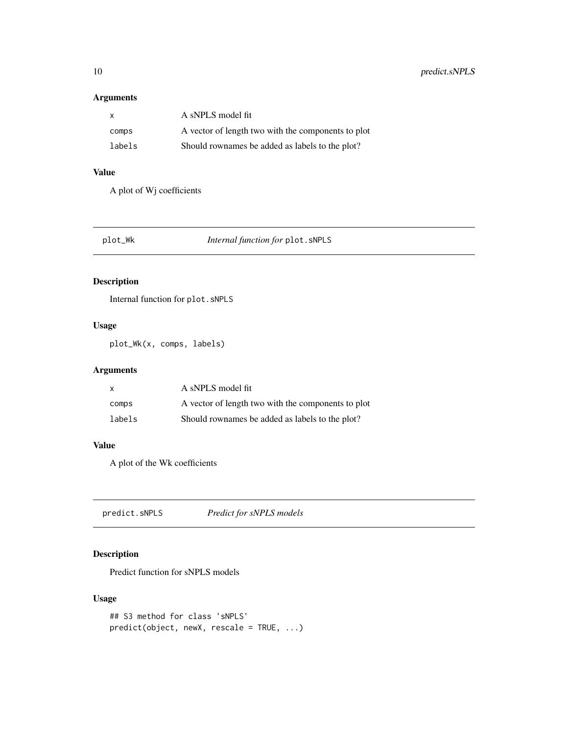<span id="page-9-0"></span>

| $\mathbf{x}$ | A sNPLS model fit                                  |
|--------------|----------------------------------------------------|
| comps        | A vector of length two with the components to plot |
| labels       | Should rownames be added as labels to the plot?    |

## Value

A plot of Wj coefficients

plot\_Wk *Internal function for* plot.sNPLS

## Description

Internal function for plot.sNPLS

## Usage

plot\_Wk(x, comps, labels)

## Arguments

| X      | A sNPLS model fit                                  |
|--------|----------------------------------------------------|
| comps  | A vector of length two with the components to plot |
| labels | Should rownames be added as labels to the plot?    |

#### Value

A plot of the Wk coefficients

predict.sNPLS *Predict for sNPLS models*

## Description

Predict function for sNPLS models

```
## S3 method for class 'sNPLS'
predict(object, newX, rescale = TRUE, ...)
```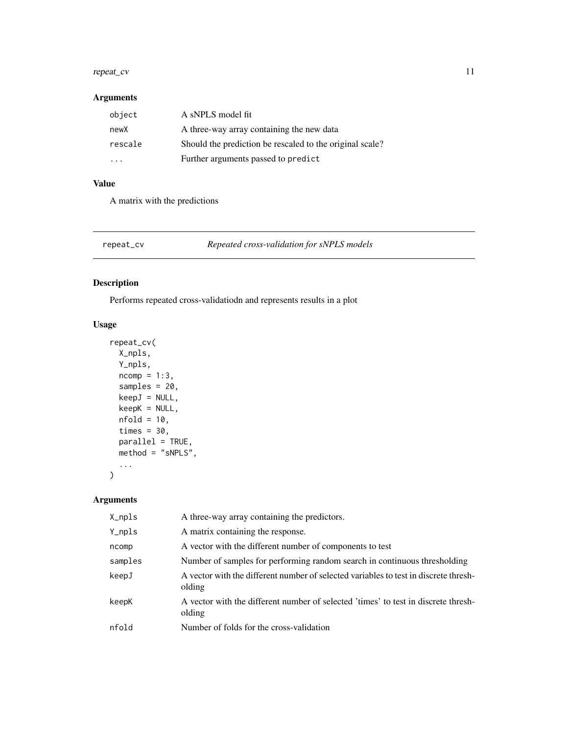#### <span id="page-10-0"></span>repeat\_cv 11

## Arguments

| object  | A sNPLS model fit                                        |
|---------|----------------------------------------------------------|
| newX    | A three-way array containing the new data                |
| rescale | Should the prediction be rescaled to the original scale? |
| .       | Further arguments passed to predict                      |

## Value

A matrix with the predictions

repeat\_cv *Repeated cross-validation for sNPLS models*

## Description

Performs repeated cross-validatiodn and represents results in a plot

## Usage

```
repeat_cv(
 X_npls,
 Y_npls,
 ncomp = 1:3,
  samples = 20,
 keepJ = NULL,
 keepK = NULL,
 nfold = 10,times = 30,
 parallel = TRUE,
 method = "sNPLS",
  ...
)
```
## Arguments

| X_npls  | A three-way array containing the predictors.                                                   |
|---------|------------------------------------------------------------------------------------------------|
| Y_npls  | A matrix containing the response.                                                              |
| ncomp   | A vector with the different number of components to test                                       |
| samples | Number of samples for performing random search in continuous thresholding                      |
| keepJ   | A vector with the different number of selected variables to test in discrete thresh-<br>olding |
| keepK   | A vector with the different number of selected 'times' to test in discrete thresh-<br>olding   |
| nfold   | Number of folds for the cross-validation                                                       |
|         |                                                                                                |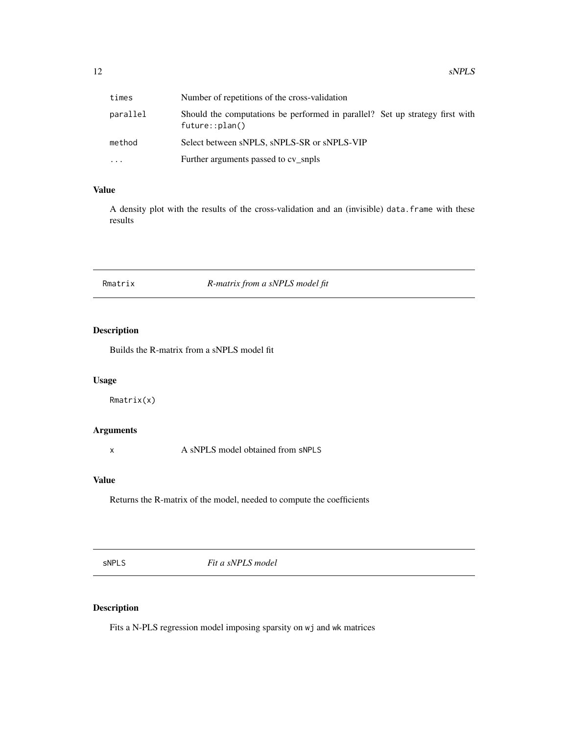<span id="page-11-0"></span>

| times    | Number of repetitions of the cross-validation                                                  |
|----------|------------------------------------------------------------------------------------------------|
| parallel | Should the computations be performed in parallel? Set up strategy first with<br>future::plan() |
| method   | Select between sNPLS, sNPLS-SR or sNPLS-VIP                                                    |
| .        | Further arguments passed to cv snpls                                                           |

## Value

A density plot with the results of the cross-validation and an (invisible) data.frame with these results

## Rmatrix *R-matrix from a sNPLS model fit*

## Description

Builds the R-matrix from a sNPLS model fit

#### Usage

Rmatrix(x)

## Arguments

x A sNPLS model obtained from sNPLS

## Value

Returns the R-matrix of the model, needed to compute the coefficients

sNPLS *Fit a sNPLS model*

## Description

Fits a N-PLS regression model imposing sparsity on wj and wk matrices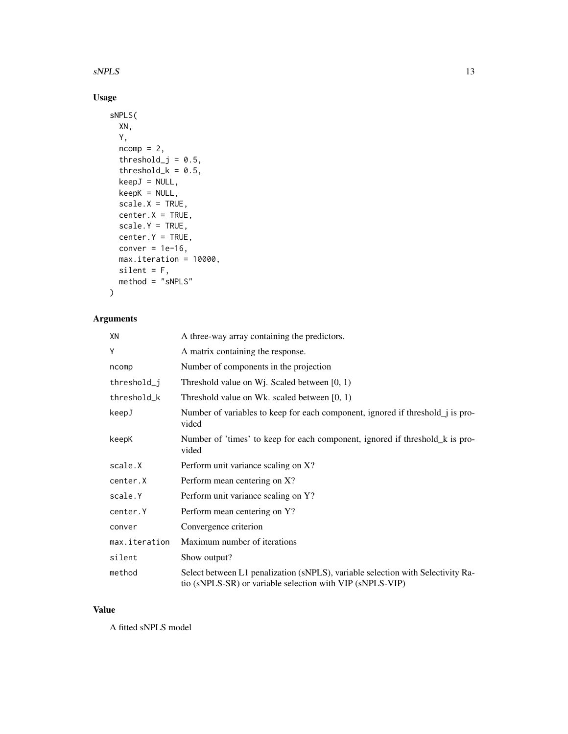#### $sNPLS$  13

## Usage

```
sNPLS(
 XN,
  Y,
  ncomp = 2,
  threshold_j = 0.5,
  threshold_k = 0.5,
 keepJ = NULL,
 keepK = NULL,
  scale.X = TRUE,center.X = TRUE,scale.Y = TRUE,
 center.Y = TRUE,conver = 1e-16,
 max.iteration = 10000,
 silent = F,
 method = "sNPLS"
\mathcal{L}
```
## Arguments

| XN            | A three-way array containing the predictors.                                                                                                 |
|---------------|----------------------------------------------------------------------------------------------------------------------------------------------|
| Υ             | A matrix containing the response.                                                                                                            |
| ncomp         | Number of components in the projection                                                                                                       |
| threshold_j   | Threshold value on W <sub>1</sub> . Scaled between $[0, 1)$                                                                                  |
| threshold_k   | Threshold value on Wk. scaled between $[0, 1)$                                                                                               |
| keepJ         | Number of variables to keep for each component, ignored if threshold_j is pro-<br>vided                                                      |
| keepK         | Number of 'times' to keep for each component, ignored if threshold_k is pro-<br>vided                                                        |
| scale.X       | Perform unit variance scaling on X?                                                                                                          |
| center.X      | Perform mean centering on X?                                                                                                                 |
| scale.Y       | Perform unit variance scaling on Y?                                                                                                          |
| center.Y      | Perform mean centering on Y?                                                                                                                 |
| conver        | Convergence criterion                                                                                                                        |
| max.iteration | Maximum number of iterations                                                                                                                 |
| silent        | Show output?                                                                                                                                 |
| method        | Select between L1 penalization (sNPLS), variable selection with Selectivity Ra-<br>tio (sNPLS-SR) or variable selection with VIP (sNPLS-VIP) |

#### Value

A fitted sNPLS model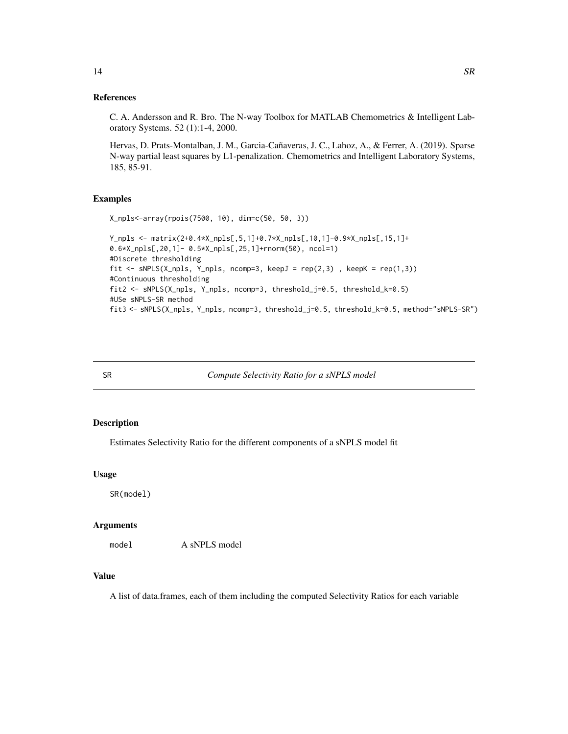#### <span id="page-13-0"></span>References

C. A. Andersson and R. Bro. The N-way Toolbox for MATLAB Chemometrics & Intelligent Laboratory Systems. 52 (1):1-4, 2000.

Hervas, D. Prats-Montalban, J. M., Garcia-Cañaveras, J. C., Lahoz, A., & Ferrer, A. (2019). Sparse N-way partial least squares by L1-penalization. Chemometrics and Intelligent Laboratory Systems, 185, 85-91.

#### Examples

```
X_npls<-array(rpois(7500, 10), dim=c(50, 50, 3))
Y_npls <- matrix(2+0.4*X_npls[,5,1]+0.7*X_npls[,10,1]-0.9*X_npls[,15,1]+
0.6*X_npls[,20,1]- 0.5*X_npls[,25,1]+rnorm(50), ncol=1)
#Discrete thresholding
fit <- sNPLS(X_npls, Y_npls, ncomp=3, keepJ = rep(2,3), keepK = rep(1,3))
#Continuous thresholding
fit2 <- sNPLS(X_npls, Y_npls, ncomp=3, threshold_j=0.5, threshold_k=0.5)
#USe sNPLS-SR method
fit3 <- sNPLS(X_npls, Y_npls, ncomp=3, threshold_j=0.5, threshold_k=0.5, method="sNPLS-SR")
```
SR *Compute Selectivity Ratio for a sNPLS model*

#### Description

Estimates Selectivity Ratio for the different components of a sNPLS model fit

#### Usage

SR(model)

#### Arguments

model A sNPLS model

#### Value

A list of data.frames, each of them including the computed Selectivity Ratios for each variable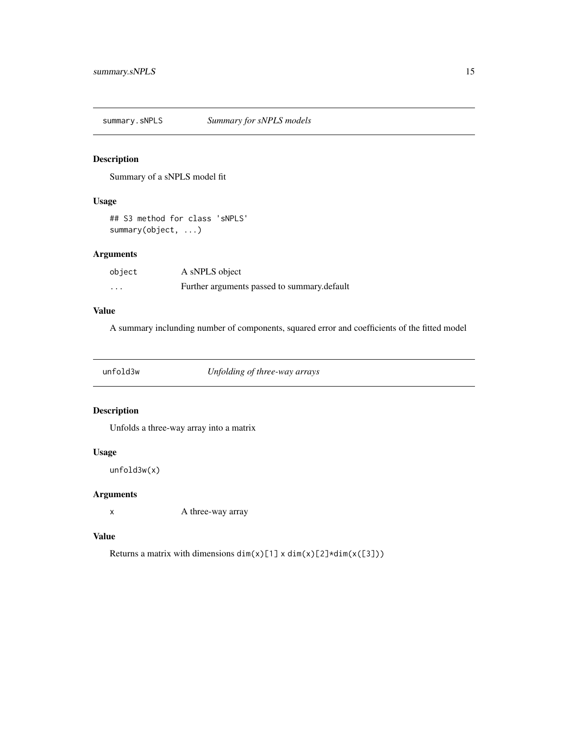<span id="page-14-0"></span>summary.sNPLS *Summary for sNPLS models*

## Description

Summary of a sNPLS model fit

## Usage

## S3 method for class 'sNPLS' summary(object, ...)

## Arguments

| object   | A sNPLS object                              |
|----------|---------------------------------------------|
| $\cdots$ | Further arguments passed to summary.default |

## Value

A summary inclunding number of components, squared error and coefficients of the fitted model

unfold3w *Unfolding of three-way arrays*

## Description

Unfolds a three-way array into a matrix

#### Usage

unfold3w(x)

#### Arguments

x A three-way array

## Value

Returns a matrix with dimensions  $dim(x)[1] \times dim(x)[2] \times dim(x([3]))$